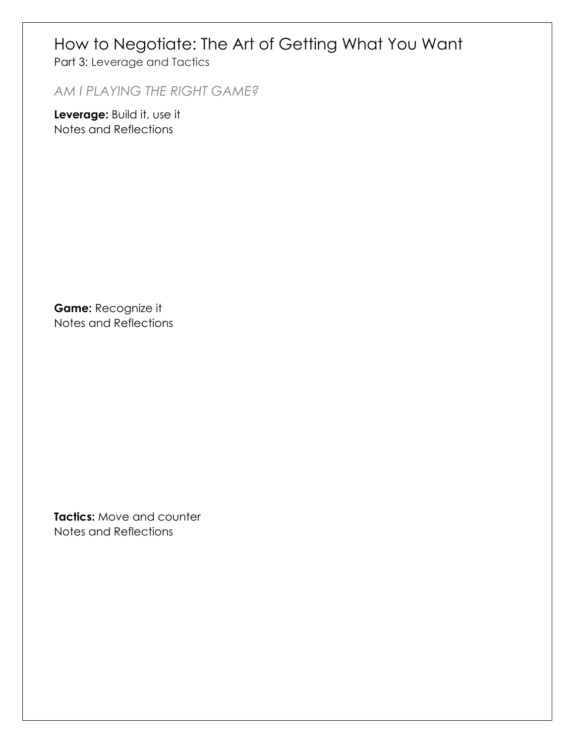### How to Negotiate: The Art of Getting What You Want

Part 3: Leverage and Tactics

*AM I PLAYING THE RIGHT GAME?* 

**Leverage:** Build it, use it Notes and Reflections

**Game:** Recognize it Notes and Reflections

**Tactics:** Move and counter Notes and Reflections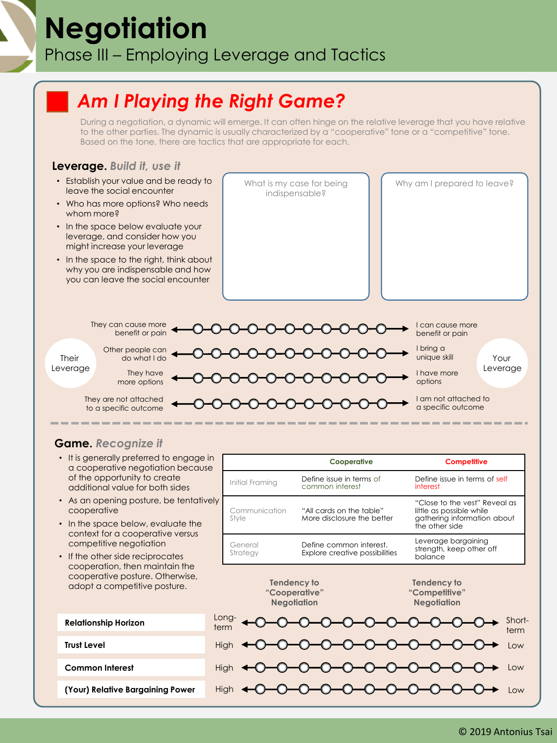# **Negotiation** Phase III – Employing Leverage and Tactics

## *Am I Playing the Right Game?*

During a negotiation, a dynamic will emerge. It can often hinge on the relative leverage that you have relative to the other parties. The dynamic is usually characterized by a "cooperative" tone or a "competitive" tone. Based on the tone, there are tactics that are appropriate for each.

### **Leverage.** *Build it, use it*

- Establish your value and be ready to leave the social encounter
- Who has more options? Who needs whom more?
- In the space below evaluate your leverage, and consider how you might increase your leverage
- In the space to the right, think about why you are indispensable and how you can leave the social encounter

What is my case for being indispensable?

Why am I prepared to leave?



### **Game.** *Recognize it*

- It is generally preferred to engage in a cooperative negotiation because of the opportunity to create additional value for both sides
- As an opening posture, be tentatively cooperative
- In the space below, evaluate the context for a cooperative versus competitive negotiation
- If the other side reciprocates cooperation, then maintain the cooperative posture. Otherwise, adopt a competitive posture.

|                              | Cooperative                                               | <b>Competitive</b>                                                                                         |
|------------------------------|-----------------------------------------------------------|------------------------------------------------------------------------------------------------------------|
| Initial Framing              | Define issue in terms of<br>common interest               | Define issue in terms of self<br>interest                                                                  |
| ly<br>Communication<br>Style | "All cards on the table"<br>More disclosure the better    | "Close to the vest" Reveal as<br>little as possible while<br>gathering information about<br>the other side |
| General<br>Strategy          | Define common interest.<br>Explore creative possibilities | Leverage bargaining<br>strength, keep other off<br>balance                                                 |
|                              | Tendency to<br>"Cooperative"<br><b>Negotiation</b>        | Tendency to<br>"Competitive"<br><b>Negotiation</b>                                                         |
| Long-<br>term                |                                                           | Short-<br>term                                                                                             |
| High                         |                                                           | Low                                                                                                        |
| <b>High</b>                  |                                                           | Low                                                                                                        |
| <b>High</b>                  |                                                           | Low                                                                                                        |

| <b>Relationship Horizon</b>      |  |  |
|----------------------------------|--|--|
| <b>Trust Level</b>               |  |  |
| <b>Common Interest</b>           |  |  |
| (Your) Relative Bargaining Power |  |  |